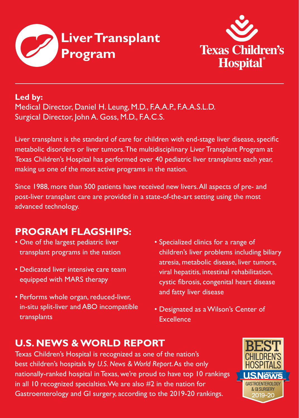



### **Led by:**

Medical Director, Daniel H. Leung, M.D., F.A.A.P., F.A.A.S.L.D. Surgical Director, John A. Goss, M.D., F.A.C.S.

metabolic disorders or liver tumors.The multidisciplinary Liver Transplant Program at Texas Children's Hospital has performed over 40 pediatric liver transplants each year, making us one of the most active programs in the nation.  $\blacksquare$  . The making us one of the most active programs in the nation. Liver transplant is the standard of care for children with end-stage liver disease, specific

Since 1988, more than 500 patients have received new livers.All aspects of pre- and  $\equiv$ post-liver transplant care are provided in a state-of-the-art setting using the most one-year and three-year survival rates are among the highest in the country. All aspects in the country of the country of the country. All aspects in the country of the country of the country of the country of the country

#### $T$  the program is supported by pulmonologists, four cardiothoracic cardiothoracic cardiothoracic cardiothoracic cardiothoracic cardiothoracic cardiothoracic cardiothoracic cardiothoracic cardiothoracic cardiothoracic car **PROGRAM FLAGSHIPS:**

- 
- Dedicated liver intensive care team equipped with MARS therapy
- Performs whole organ, reduced-liver, the following the following of the following  $\frac{1}{2}$ in-situ split-liver and ABO incompatible  $\qquad \bullet$  Designated as a Wilson's Center of director in the area of  $q$ uality improvement. The area of  $q$ uality improvement. in-situ split-liver and ABO incompatible
- One of the largest pediatric liver **•** Specialized clinics for a range of transplant programs in the nation **computer** children's liver problems includ multidisciplinary team includes additional full-time states additional functional functional functions  $\mathcal{L}$ • Dedicated liver intensive care team wiral hepatitis, intestinal rehabilitation, equipped with MARS therapy exercise cystic fibrosis, congenital heart disease in the areas of infectious disease, immunology and psychology. Additional team members and fatty liver disease • Specialized clinics for a range of children's liver problems including biliary
	- **Excellence**

# **U.S. NEWS & WORLD REPORT**

Texas Children's Hospital is recognized as one of the nation's best children's hospitals by *U.S. News & World Report*. As the only nationally-ranked hospital in Texas, we're proud to have top 10 rankings in all 10 recognized specialties. We are also #2 in the nation for Gastroenterology and GI surgery, according to the 2019-20 rankings.